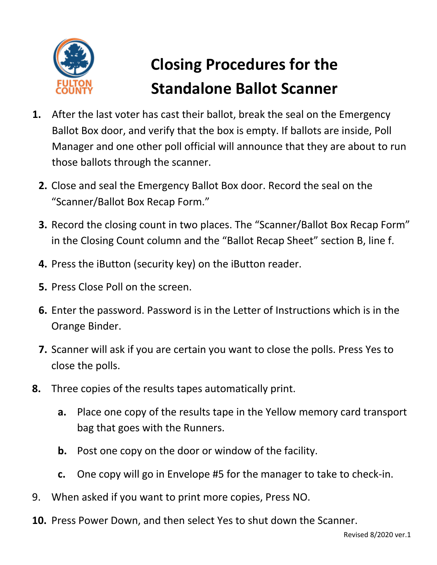

## **Closing Procedures for the Standalone Ballot Scanner**

- **1.** After the last voter has cast their ballot, break the seal on the Emergency Ballot Box door, and verify that the box is empty. If ballots are inside, Poll Manager and one other poll official will announce that they are about to run those ballots through the scanner.
	- **2.** Close and seal the Emergency Ballot Box door. Record the seal on the "Scanner/Ballot Box Recap Form."
	- **3.** Record the closing count in two places. The "Scanner/Ballot Box Recap Form" in the Closing Count column and the "Ballot Recap Sheet" section B, line f.
	- **4.** Press the iButton (security key) on the iButton reader.
	- **5.** Press Close Poll on the screen.
	- **6.** Enter the password. Password is in the Letter of Instructions which is in the Orange Binder.
	- **7.** Scanner will ask if you are certain you want to close the polls. Press Yes to close the polls.
- **8.** Three copies of the results tapes automatically print.
	- **a.** Place one copy of the results tape in the Yellow memory card transport bag that goes with the Runners.
	- **b.** Post one copy on the door or window of the facility.
	- **c.** One copy will go in Envelope #5 for the manager to take to check-in.
- 9. When asked if you want to print more copies, Press NO.
- **10.** Press Power Down, and then select Yes to shut down the Scanner.